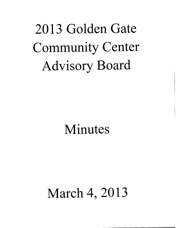# 2013 Golden Gate Community Center Advisory Board

## Minutes

## March 4, 2013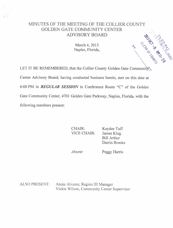### MINUTES OF THE MEETING OF THE COLLIER COUNTY GOLDEN GATE COMMUNITY CENTER ADVISORY BOARD

March 4, 2013 Naples, Florida,

LET IT BE REMEMBERED, that the Collier County Golden Gate Community Center Advisory Board, having conducted business herein, met on this date at 6:00 PM in **REGULAR SESSION** in Conference Room "C" of the Golden Gate Community Center, 4701 Golden Gate Parkway, Naples, Florida, with the following members present:

> CHAIR: VICE CHAIR: Kaydee Tuff James Klug Bill Arthur

Absent:

Peggy Harris

Darrin Brooks

**GRANGE CABLES** 

ALSO PRESENT: Annie Alvarez, Region III Manager Vickie Wilson, Community Center Supervisor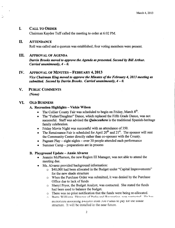#### I. CALL TO ORDER

Chairman Kaydee Tuff called the meeting to order at 6:02 PM.

#### H. ATTENDANCE

Roll was called and a quorum was established; four voting members were present.

#### III. APPROVAL OF AGENDA

Darrin Brooks moved to approve the Agenda as presented. Second by Bill Arthur. Carried unanimously,  $4 - 0$ .

#### IV. APPROVAL OF MINUTES - FEBRUARY 4, 2013

Vice Chairman Klug moved to approve the Minutes of the February 4, 2013 meeting as submitted. Second by Darrin Brooks. Carried unanimously,  $4 - 0$ .

V. PUBLIC COMMENTS

None)

#### VI. OLD BUSINESS

#### A. Recreation Highlights — Vickie Wilson

- The Collier County Fair was scheduled to begin on Friday, March 8<sup>th</sup>.
- The "Father/Daughter" Dance, which replaced the Fifth Grade Dance, was not successful. Staff was advised the *Quinceanera* is the traditional Spanish-heritage family celebration.
- Friday Movie Night was successful with an attendance of 350.
- The Renaissance Fair is scheduled for April  $20<sup>th</sup>$  and  $21<sup>st</sup>$ . The sponsor will rent the Community Center directly rather than co- sponsor with the County.
- Pageant Play eight nights over 30 people attended each performance
- Summer Camp preparations are in process

#### B. Playground Update — Annie Alvarez

- Jeannie McPherson, the new Region III Manager, was not able to attend the  $\bullet$ meeting due.
- Ms. Alvarez provided background information:
	- o \$40,000 had been allocated in the Budget under "Capital Improvements" for the new shade structure
	- $\circ$  When the Purchase Order was submitted, it was denied by the Purchase Office due to lack of funds
	- o Sheryl Pryor, the Budget Analyst, was contacted. She stated the funds had been used to balance the budget.
	- o There was no prior notification that the funds were being re- allocated.
	- Rarry Williams Director of Parks and Recreation was contacted He has authorized allocating  $\frac{1}{2} + \frac{1}{2}$  and  $\frac{1}{2} - \frac{1}{2}$  of runds to pay for the snade structure. It will be installed in the near future.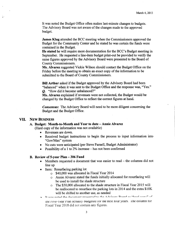It was noted the Budget Office often makes last-minute changes to budgets. The Advisory Board was not aware of the changes made to the approved budget.

James Klug attended the BCC meeting when the Commissioners approved the Budget for the Community Center and he stated he was certain the funds were contained in the Budget.

He stated he will require more documentation for the BCC' <sup>s</sup> Budget meeting in September. He requested a line -item budget print -out be provided to verify the same figures approved by the Advisory Board were presented to the Board of County Commissioners.

Ms. Alvarez suggested Vickie Wilson should contact the Budget Office on the Friday before the meeting to obtain an exact copy of the information to be submitted to the Board of County Commissioners.

Bill Arthur asked if the Budget approved by the Advisory Board had been "balanced" when it was sent to the Budget Office and the response was, "Yes." Q. "How did it become unbalanced?"

Ms. Alvarez explained if revenues were not collected, the Budget would be changed by the Budget Office to reflect the correct figures at hand.

Consensus: The Advisory Board will need to be more diligent concerning the Budget and the Budget Office.

#### VII. NEW BUSINESS

#### A. Budget: Month -to -Month and Year to date — Annie Alvarez

(Hard copy of the information was not available)

- Revenues are down.
- Received budget instructions to begin the process to input information into Gov/Max" system
- No cuts were anticipated (per Steve Parnell, Budget Administrator)
- Possibility of <sup>a</sup> <sup>1</sup> to 2% increase has not been confirmed

#### B. Review of 5-year Plan - 306 Fund

- Members requested a document that was easier to read the columns did not line up
- Item: Resurfacing parking lot
	- o \$ 40,000 was allocated in Fiscal Year 2014
	- o Annie Alvarez stated the funds initially allocated for resurfacing will be used to install the shade structure
	- o The \$50,000 allocated to the shade structure in Fiscal Year 2015 will be reallocated to resurface the parking lots in 2014 and the extra \$10K will be shifted to another use, as needed
- It was noted the document presented to the Advisory Roard as "hard conv" of

the  $f$  ive-  $\gamma$  ear Pian actuality outgeted for the next four years. I he column for Fiscal Year 2018 did not contain any figures.